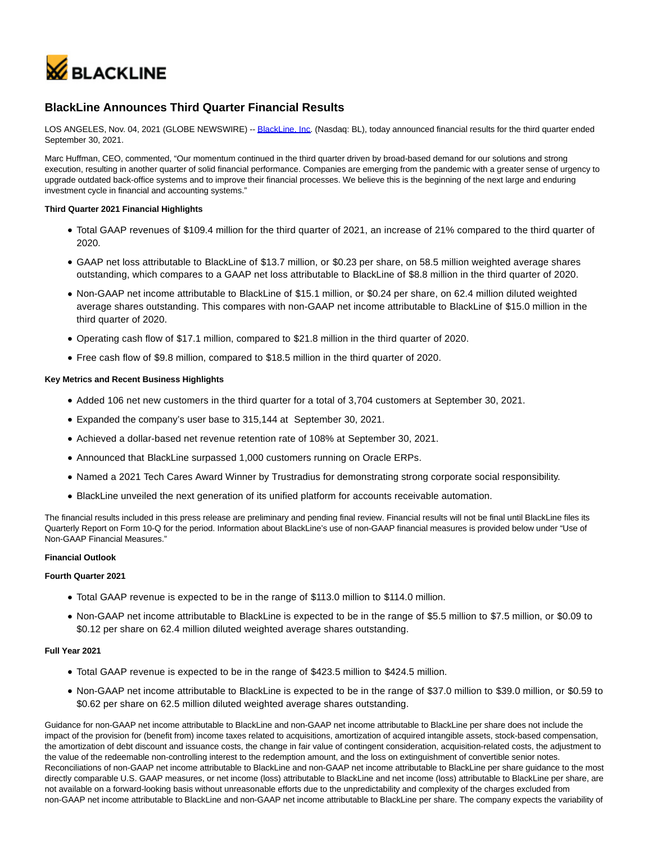

# **BlackLine Announces Third Quarter Financial Results**

LOS ANGELES, Nov. 04, 2021 (GLOBE NEWSWIRE) -- [BlackLine, Inc.](https://www.globenewswire.com/Tracker?data=4-Kj2WZ1ux-46qG6KJO-0uYg3BnpJtGwQ_dnSFqfBT8G0Wy5tFCPyccistYMSiR78q-H2hhgYM6J9lyzmZTSyQ==) (Nasdaq: BL), today announced financial results for the third quarter ended September 30, 2021.

Marc Huffman, CEO, commented, "Our momentum continued in the third quarter driven by broad-based demand for our solutions and strong execution, resulting in another quarter of solid financial performance. Companies are emerging from the pandemic with a greater sense of urgency to upgrade outdated back-office systems and to improve their financial processes. We believe this is the beginning of the next large and enduring investment cycle in financial and accounting systems."

# **Third Quarter 2021 Financial Highlights**

- Total GAAP revenues of \$109.4 million for the third quarter of 2021, an increase of 21% compared to the third quarter of 2020.
- GAAP net loss attributable to BlackLine of \$13.7 million, or \$0.23 per share, on 58.5 million weighted average shares outstanding, which compares to a GAAP net loss attributable to BlackLine of \$8.8 million in the third quarter of 2020.
- Non-GAAP net income attributable to BlackLine of \$15.1 million, or \$0.24 per share, on 62.4 million diluted weighted average shares outstanding. This compares with non-GAAP net income attributable to BlackLine of \$15.0 million in the third quarter of 2020.
- Operating cash flow of \$17.1 million, compared to \$21.8 million in the third quarter of 2020.
- Free cash flow of \$9.8 million, compared to \$18.5 million in the third quarter of 2020.

# **Key Metrics and Recent Business Highlights**

- Added 106 net new customers in the third quarter for a total of 3,704 customers at September 30, 2021.
- Expanded the company's user base to 315,144 at September 30, 2021.
- Achieved a dollar-based net revenue retention rate of 108% at September 30, 2021.
- Announced that BlackLine surpassed 1,000 customers running on Oracle ERPs.
- Named a 2021 Tech Cares Award Winner by Trustradius for demonstrating strong corporate social responsibility.
- BlackLine unveiled the next generation of its unified platform for accounts receivable automation.

The financial results included in this press release are preliminary and pending final review. Financial results will not be final until BlackLine files its Quarterly Report on Form 10-Q for the period. Information about BlackLine's use of non-GAAP financial measures is provided below under "Use of Non-GAAP Financial Measures."

# **Financial Outlook**

#### **Fourth Quarter 2021**

- Total GAAP revenue is expected to be in the range of \$113.0 million to \$114.0 million.
- Non-GAAP net income attributable to BlackLine is expected to be in the range of \$5.5 million to \$7.5 million, or \$0.09 to \$0.12 per share on 62.4 million diluted weighted average shares outstanding.

#### **Full Year 2021**

- Total GAAP revenue is expected to be in the range of \$423.5 million to \$424.5 million.
- Non-GAAP net income attributable to BlackLine is expected to be in the range of \$37.0 million to \$39.0 million, or \$0.59 to \$0.62 per share on 62.5 million diluted weighted average shares outstanding.

Guidance for non-GAAP net income attributable to BlackLine and non-GAAP net income attributable to BlackLine per share does not include the impact of the provision for (benefit from) income taxes related to acquisitions, amortization of acquired intangible assets, stock-based compensation, the amortization of debt discount and issuance costs, the change in fair value of contingent consideration, acquisition-related costs, the adjustment to the value of the redeemable non-controlling interest to the redemption amount, and the loss on extinguishment of convertible senior notes. Reconciliations of non-GAAP net income attributable to BlackLine and non-GAAP net income attributable to BlackLine per share guidance to the most directly comparable U.S. GAAP measures, or net income (loss) attributable to BlackLine and net income (loss) attributable to BlackLine per share, are not available on a forward-looking basis without unreasonable efforts due to the unpredictability and complexity of the charges excluded from non-GAAP net income attributable to BlackLine and non-GAAP net income attributable to BlackLine per share. The company expects the variability of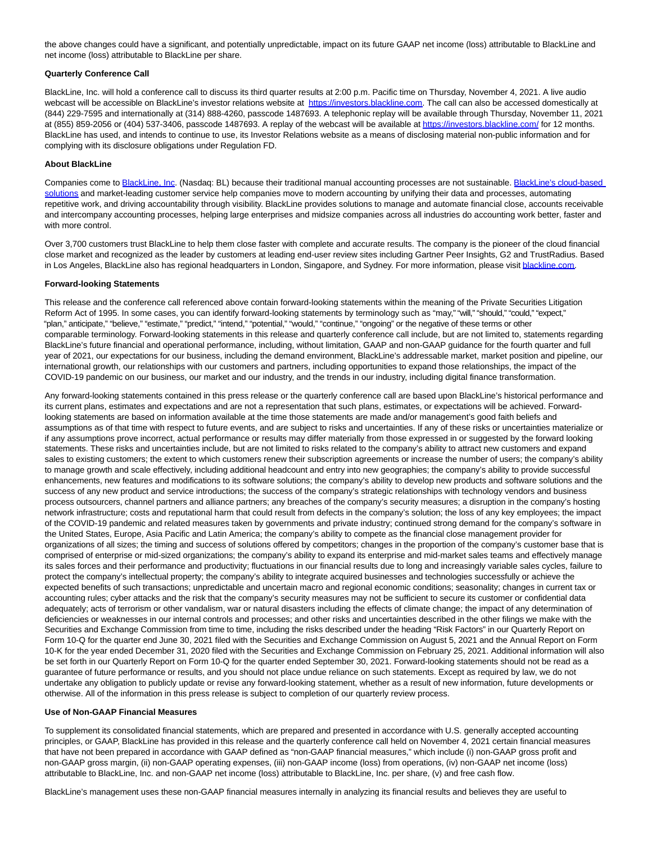the above changes could have a significant, and potentially unpredictable, impact on its future GAAP net income (loss) attributable to BlackLine and net income (loss) attributable to BlackLine per share.

#### **Quarterly Conference Call**

BlackLine, Inc. will hold a conference call to discuss its third quarter results at 2:00 p.m. Pacific time on Thursday, November 4, 2021. A live audio webcast will be accessible on BlackLine's investor relations website at [https://investors.blackline.com.](https://www.globenewswire.com/Tracker?data=jx9ck6M8-za8FGAPcocPPyQhXa5GqMB1vGYf4dHiBtliIWYkZ6IxwVFgojLnZtVXP8G3hIsN95_BTtJ9STIXxvU5TVZFvna_DOGsIHdnB8szlcPt9QaSMCKJ1deB5zSK) The call can also be accessed domestically at (844) 229-7595 and internationally at (314) 888-4260, passcode 1487693. A telephonic replay will be available through Thursday, November 11, 2021 at (855) 859-2056 or (404) 537-3406, passcode 1487693. A replay of the webcast will be available a[t https://investors.blackline.com/ f](https://www.globenewswire.com/Tracker?data=jx9ck6M8-za8FGAPcocPPyQhXa5GqMB1vGYf4dHiBtmBMxqlPjzA0xeElVucSYD2XMB6pzOpLImuQGefbSaIQ30f3N_6nFGzFpgD9MgB2QKdTaJMya54f3zYEs7VWEYF)or 12 months. BlackLine has used, and intends to continue to use, its Investor Relations website as a means of disclosing material non-public information and for complying with its disclosure obligations under Regulation FD.

#### **About BlackLine**

Companies come to **BlackLine, Inc.** (Nasdaq: BL) because their traditional manual accounting processes are not sustainable. **BlackLine's cloud-based** solutions and market-leading customer service help companies move to modern accounting by unifying their data and processes, automating repetitive work, and driving accountability through visibility. BlackLine provides solutions to manage and automate financial close, accounts receivable and intercompany accounting processes, helping large enterprises and midsize companies across all industries do accounting work better, faster and with more control.

Over 3,700 customers trust BlackLine to help them close faster with complete and accurate results. The company is the pioneer of the cloud financial close market and recognized as the leader by customers at leading end-user review sites including Gartner Peer Insights, G2 and TrustRadius. Based in Los Angeles, BlackLine also has regional headquarters in London, Singapore, and Sydney. For more information, please visi[t blackline.com.](https://www.globenewswire.com/Tracker?data=-eJKmUJ5UbA7PFGPFYOu_JXQJpgpKSVwi4MGU6vvCe0jWz0669slopdY8CdpoRuN0HNikXODyo3SMWxdAfJk_A==)

#### **Forward-looking Statements**

This release and the conference call referenced above contain forward-looking statements within the meaning of the Private Securities Litigation Reform Act of 1995. In some cases, you can identify forward-looking statements by terminology such as "may," "will," "should," "could," "expect," "plan," anticipate," "believe," "estimate," "predict," "intend," "potential," "would," "continue," "ongoing" or the negative of these terms or other comparable terminology. Forward-looking statements in this release and quarterly conference call include, but are not limited to, statements regarding BlackLine's future financial and operational performance, including, without limitation, GAAP and non-GAAP guidance for the fourth quarter and full year of 2021, our expectations for our business, including the demand environment, BlackLine's addressable market, market position and pipeline, our international growth, our relationships with our customers and partners, including opportunities to expand those relationships, the impact of the COVID-19 pandemic on our business, our market and our industry, and the trends in our industry, including digital finance transformation.

Any forward-looking statements contained in this press release or the quarterly conference call are based upon BlackLine's historical performance and its current plans, estimates and expectations and are not a representation that such plans, estimates, or expectations will be achieved. Forwardlooking statements are based on information available at the time those statements are made and/or management's good faith beliefs and assumptions as of that time with respect to future events, and are subject to risks and uncertainties. If any of these risks or uncertainties materialize or if any assumptions prove incorrect, actual performance or results may differ materially from those expressed in or suggested by the forward looking statements. These risks and uncertainties include, but are not limited to risks related to the company's ability to attract new customers and expand sales to existing customers; the extent to which customers renew their subscription agreements or increase the number of users; the company's ability to manage growth and scale effectively, including additional headcount and entry into new geographies; the company's ability to provide successful enhancements, new features and modifications to its software solutions; the company's ability to develop new products and software solutions and the success of any new product and service introductions; the success of the company's strategic relationships with technology vendors and business process outsourcers, channel partners and alliance partners; any breaches of the company's security measures; a disruption in the company's hosting network infrastructure; costs and reputational harm that could result from defects in the company's solution; the loss of any key employees; the impact of the COVID-19 pandemic and related measures taken by governments and private industry; continued strong demand for the company's software in the United States, Europe, Asia Pacific and Latin America; the company's ability to compete as the financial close management provider for organizations of all sizes; the timing and success of solutions offered by competitors; changes in the proportion of the company's customer base that is comprised of enterprise or mid-sized organizations; the company's ability to expand its enterprise and mid-market sales teams and effectively manage its sales forces and their performance and productivity; fluctuations in our financial results due to long and increasingly variable sales cycles, failure to protect the company's intellectual property; the company's ability to integrate acquired businesses and technologies successfully or achieve the expected benefits of such transactions; unpredictable and uncertain macro and regional economic conditions; seasonality; changes in current tax or accounting rules; cyber attacks and the risk that the company's security measures may not be sufficient to secure its customer or confidential data adequately; acts of terrorism or other vandalism, war or natural disasters including the effects of climate change; the impact of any determination of deficiencies or weaknesses in our internal controls and processes; and other risks and uncertainties described in the other filings we make with the Securities and Exchange Commission from time to time, including the risks described under the heading "Risk Factors" in our Quarterly Report on Form 10-Q for the quarter end June 30, 2021 filed with the Securities and Exchange Commission on August 5, 2021 and the Annual Report on Form 10-K for the year ended December 31, 2020 filed with the Securities and Exchange Commission on February 25, 2021. Additional information will also be set forth in our Quarterly Report on Form 10-Q for the quarter ended September 30, 2021. Forward-looking statements should not be read as a guarantee of future performance or results, and you should not place undue reliance on such statements. Except as required by law, we do not undertake any obligation to publicly update or revise any forward-looking statement, whether as a result of new information, future developments or otherwise. All of the information in this press release is subject to completion of our quarterly review process.

#### **Use of Non-GAAP Financial Measures**

To supplement its consolidated financial statements, which are prepared and presented in accordance with U.S. generally accepted accounting principles, or GAAP, BlackLine has provided in this release and the quarterly conference call held on November 4, 2021 certain financial measures that have not been prepared in accordance with GAAP defined as "non-GAAP financial measures," which include (i) non-GAAP gross profit and non-GAAP gross margin, (ii) non-GAAP operating expenses, (iii) non-GAAP income (loss) from operations, (iv) non-GAAP net income (loss) attributable to BlackLine, Inc. and non-GAAP net income (loss) attributable to BlackLine, Inc. per share, (v) and free cash flow.

BlackLine's management uses these non-GAAP financial measures internally in analyzing its financial results and believes they are useful to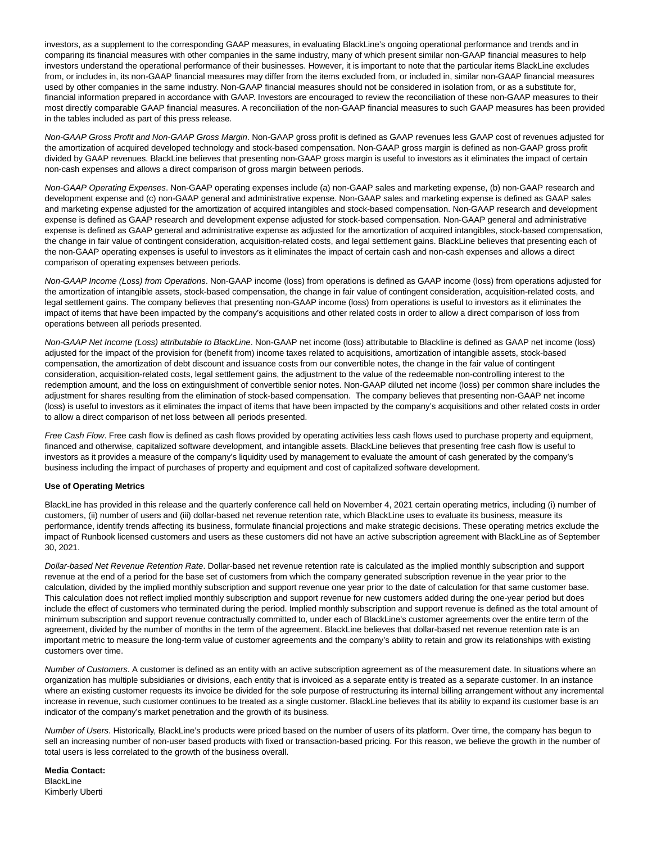investors, as a supplement to the corresponding GAAP measures, in evaluating BlackLine's ongoing operational performance and trends and in comparing its financial measures with other companies in the same industry, many of which present similar non-GAAP financial measures to help investors understand the operational performance of their businesses. However, it is important to note that the particular items BlackLine excludes from, or includes in, its non-GAAP financial measures may differ from the items excluded from, or included in, similar non-GAAP financial measures used by other companies in the same industry. Non-GAAP financial measures should not be considered in isolation from, or as a substitute for, financial information prepared in accordance with GAAP. Investors are encouraged to review the reconciliation of these non-GAAP measures to their most directly comparable GAAP financial measures. A reconciliation of the non-GAAP financial measures to such GAAP measures has been provided in the tables included as part of this press release.

Non-GAAP Gross Profit and Non-GAAP Gross Margin. Non-GAAP gross profit is defined as GAAP revenues less GAAP cost of revenues adjusted for the amortization of acquired developed technology and stock-based compensation. Non-GAAP gross margin is defined as non-GAAP gross profit divided by GAAP revenues. BlackLine believes that presenting non-GAAP gross margin is useful to investors as it eliminates the impact of certain non-cash expenses and allows a direct comparison of gross margin between periods.

Non-GAAP Operating Expenses. Non-GAAP operating expenses include (a) non-GAAP sales and marketing expense, (b) non-GAAP research and development expense and (c) non-GAAP general and administrative expense. Non-GAAP sales and marketing expense is defined as GAAP sales and marketing expense adjusted for the amortization of acquired intangibles and stock-based compensation. Non-GAAP research and development expense is defined as GAAP research and development expense adjusted for stock-based compensation. Non-GAAP general and administrative expense is defined as GAAP general and administrative expense as adjusted for the amortization of acquired intangibles, stock-based compensation, the change in fair value of contingent consideration, acquisition-related costs, and legal settlement gains. BlackLine believes that presenting each of the non-GAAP operating expenses is useful to investors as it eliminates the impact of certain cash and non-cash expenses and allows a direct comparison of operating expenses between periods.

Non-GAAP Income (Loss) from Operations. Non-GAAP income (loss) from operations is defined as GAAP income (loss) from operations adjusted for the amortization of intangible assets, stock-based compensation, the change in fair value of contingent consideration, acquisition-related costs, and legal settlement gains. The company believes that presenting non-GAAP income (loss) from operations is useful to investors as it eliminates the impact of items that have been impacted by the company's acquisitions and other related costs in order to allow a direct comparison of loss from operations between all periods presented.

Non-GAAP Net Income (Loss) attributable to BlackLine. Non-GAAP net income (loss) attributable to Blackline is defined as GAAP net income (loss) adjusted for the impact of the provision for (benefit from) income taxes related to acquisitions, amortization of intangible assets, stock-based compensation, the amortization of debt discount and issuance costs from our convertible notes, the change in the fair value of contingent consideration, acquisition-related costs, legal settlement gains, the adjustment to the value of the redeemable non-controlling interest to the redemption amount, and the loss on extinguishment of convertible senior notes. Non-GAAP diluted net income (loss) per common share includes the adjustment for shares resulting from the elimination of stock-based compensation. The company believes that presenting non-GAAP net income (loss) is useful to investors as it eliminates the impact of items that have been impacted by the company's acquisitions and other related costs in order to allow a direct comparison of net loss between all periods presented.

Free Cash Flow. Free cash flow is defined as cash flows provided by operating activities less cash flows used to purchase property and equipment, financed and otherwise, capitalized software development, and intangible assets. BlackLine believes that presenting free cash flow is useful to investors as it provides a measure of the company's liquidity used by management to evaluate the amount of cash generated by the company's business including the impact of purchases of property and equipment and cost of capitalized software development.

#### **Use of Operating Metrics**

BlackLine has provided in this release and the quarterly conference call held on November 4, 2021 certain operating metrics, including (i) number of customers, (ii) number of users and (iii) dollar-based net revenue retention rate, which BlackLine uses to evaluate its business, measure its performance, identify trends affecting its business, formulate financial projections and make strategic decisions. These operating metrics exclude the impact of Runbook licensed customers and users as these customers did not have an active subscription agreement with BlackLine as of September 30, 2021.

Dollar-based Net Revenue Retention Rate. Dollar-based net revenue retention rate is calculated as the implied monthly subscription and support revenue at the end of a period for the base set of customers from which the company generated subscription revenue in the year prior to the calculation, divided by the implied monthly subscription and support revenue one year prior to the date of calculation for that same customer base. This calculation does not reflect implied monthly subscription and support revenue for new customers added during the one-year period but does include the effect of customers who terminated during the period. Implied monthly subscription and support revenue is defined as the total amount of minimum subscription and support revenue contractually committed to, under each of BlackLine's customer agreements over the entire term of the agreement, divided by the number of months in the term of the agreement. BlackLine believes that dollar-based net revenue retention rate is an important metric to measure the long-term value of customer agreements and the company's ability to retain and grow its relationships with existing customers over time.

Number of Customers. A customer is defined as an entity with an active subscription agreement as of the measurement date. In situations where an organization has multiple subsidiaries or divisions, each entity that is invoiced as a separate entity is treated as a separate customer. In an instance where an existing customer requests its invoice be divided for the sole purpose of restructuring its internal billing arrangement without any incremental increase in revenue, such customer continues to be treated as a single customer. BlackLine believes that its ability to expand its customer base is an indicator of the company's market penetration and the growth of its business.

Number of Users. Historically, BlackLine's products were priced based on the number of users of its platform. Over time, the company has begun to sell an increasing number of non-user based products with fixed or transaction-based pricing. For this reason, we believe the growth in the number of total users is less correlated to the growth of the business overall.

**Media Contact:** BlackLine Kimberly Uberti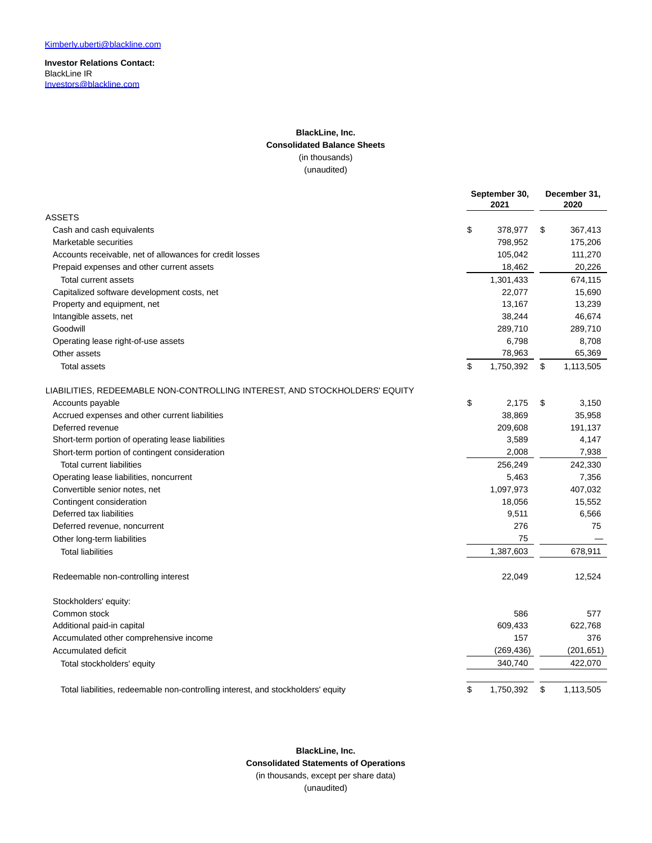**Investor Relations Contact:** BlackLine IR [Investors@blackline.com](https://www.globenewswire.com/Tracker?data=8piEqMEO2XO4nhDzePimOqCyj_bJUohWNsHvp7Y07ETVQe3oncwAMZA7YKSUSZTjdXACLNfazHpNiujDPWe_g5n128Swwrv6qeyzVZF-RJQ=)

# **BlackLine, Inc. Consolidated Balance Sheets** (in thousands) (unaudited)

|                                                                                  | September 30,<br>2021 | December 31,<br>2020 |
|----------------------------------------------------------------------------------|-----------------------|----------------------|
| <b>ASSETS</b>                                                                    |                       |                      |
| Cash and cash equivalents                                                        | \$<br>378,977         | \$<br>367,413        |
| Marketable securities                                                            | 798,952               | 175,206              |
| Accounts receivable, net of allowances for credit losses                         | 105,042               | 111,270              |
| Prepaid expenses and other current assets                                        | 18,462                | 20,226               |
| Total current assets                                                             | 1,301,433             | 674,115              |
| Capitalized software development costs, net                                      | 22,077                | 15,690               |
| Property and equipment, net                                                      | 13,167                | 13,239               |
| Intangible assets, net                                                           | 38,244                | 46,674               |
| Goodwill                                                                         | 289,710               | 289,710              |
| Operating lease right-of-use assets                                              | 6,798                 | 8,708                |
| Other assets                                                                     | 78,963                | 65,369               |
| <b>Total assets</b>                                                              | \$<br>1,750,392       | \$<br>1,113,505      |
| LIABILITIES, REDEEMABLE NON-CONTROLLING INTEREST, AND STOCKHOLDERS' EQUITY       |                       |                      |
| Accounts payable                                                                 | \$<br>2,175           | \$<br>3,150          |
| Accrued expenses and other current liabilities                                   | 38,869                | 35,958               |
| Deferred revenue                                                                 | 209,608               | 191,137              |
| Short-term portion of operating lease liabilities                                | 3,589                 | 4,147                |
| Short-term portion of contingent consideration                                   | 2,008                 | 7,938                |
| <b>Total current liabilities</b>                                                 | 256,249               | 242,330              |
| Operating lease liabilities, noncurrent                                          | 5,463                 | 7,356                |
| Convertible senior notes, net                                                    | 1,097,973             | 407,032              |
| Contingent consideration                                                         | 18,056                | 15,552               |
| Deferred tax liabilities                                                         | 9,511                 | 6,566                |
| Deferred revenue, noncurrent                                                     | 276                   | 75                   |
| Other long-term liabilities                                                      | 75                    |                      |
| <b>Total liabilities</b>                                                         | 1,387,603             | 678,911              |
| Redeemable non-controlling interest                                              | 22,049                | 12,524               |
| Stockholders' equity:                                                            |                       |                      |
| Common stock                                                                     | 586                   | 577                  |
| Additional paid-in capital                                                       | 609,433               | 622,768              |
| Accumulated other comprehensive income                                           | 157                   | 376                  |
| Accumulated deficit                                                              | (269, 436)            | (201, 651)           |
| Total stockholders' equity                                                       | 340,740               | 422,070              |
| Total liabilities, redeemable non-controlling interest, and stockholders' equity | \$<br>1,750,392       | \$<br>1,113,505      |

**BlackLine, Inc. Consolidated Statements of Operations** (in thousands, except per share data) (unaudited)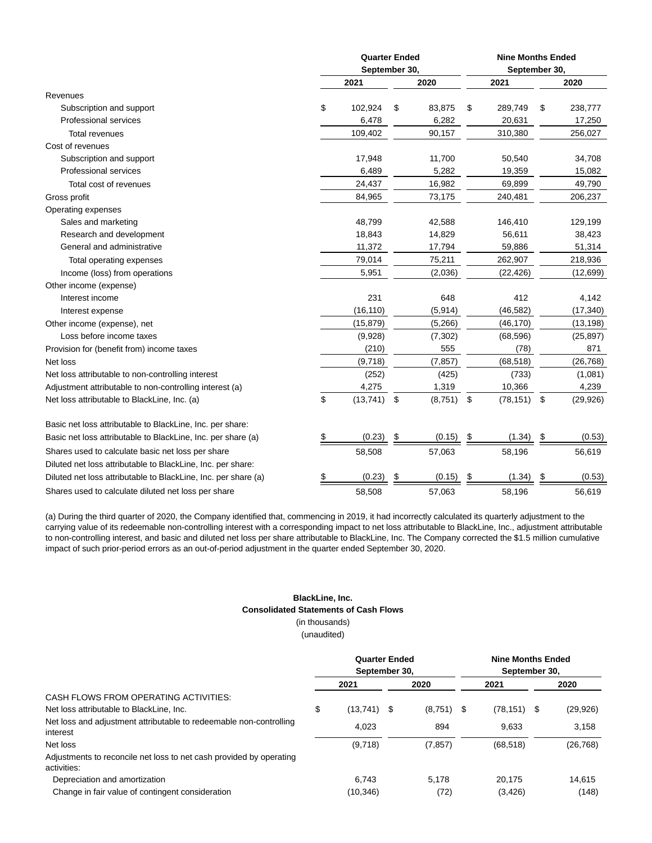|                                                                | <b>Quarter Ended</b><br>September 30. |           |    |          |               | <b>Nine Months Ended</b> |    |           |  |  |  |
|----------------------------------------------------------------|---------------------------------------|-----------|----|----------|---------------|--------------------------|----|-----------|--|--|--|
|                                                                |                                       |           |    |          |               | September 30,            |    |           |  |  |  |
|                                                                |                                       | 2021      |    | 2020     |               | 2021                     |    | 2020      |  |  |  |
| Revenues                                                       |                                       |           |    |          |               |                          |    |           |  |  |  |
| Subscription and support                                       | \$                                    | 102,924   | \$ | 83,875   | \$            | 289,749                  | \$ | 238,777   |  |  |  |
| <b>Professional services</b>                                   |                                       | 6,478     |    | 6,282    |               | 20,631                   |    | 17,250    |  |  |  |
| <b>Total revenues</b>                                          |                                       | 109,402   |    | 90,157   |               | 310,380                  |    | 256,027   |  |  |  |
| Cost of revenues                                               |                                       |           |    |          |               |                          |    |           |  |  |  |
| Subscription and support                                       |                                       | 17,948    |    | 11,700   |               | 50,540                   |    | 34,708    |  |  |  |
| <b>Professional services</b>                                   |                                       | 6,489     |    | 5,282    |               | 19,359                   |    | 15,082    |  |  |  |
| Total cost of revenues                                         |                                       | 24,437    |    | 16,982   |               | 69,899                   |    | 49,790    |  |  |  |
| Gross profit                                                   |                                       | 84,965    |    | 73,175   |               | 240,481                  |    | 206,237   |  |  |  |
| Operating expenses                                             |                                       |           |    |          |               |                          |    |           |  |  |  |
| Sales and marketing                                            |                                       | 48,799    |    | 42,588   |               | 146,410                  |    | 129,199   |  |  |  |
| Research and development                                       |                                       | 18,843    |    | 14,829   |               | 56,611                   |    | 38,423    |  |  |  |
| General and administrative                                     |                                       | 11,372    |    | 17,794   |               | 59,886                   |    | 51,314    |  |  |  |
| Total operating expenses                                       |                                       | 79,014    |    | 75,211   |               | 262,907                  |    | 218,936   |  |  |  |
| Income (loss) from operations                                  |                                       | 5,951     |    | (2,036)  |               | (22, 426)                |    | (12, 699) |  |  |  |
| Other income (expense)                                         |                                       |           |    |          |               |                          |    |           |  |  |  |
| Interest income                                                |                                       | 231       |    | 648      |               | 412                      |    | 4,142     |  |  |  |
| Interest expense                                               |                                       | (16, 110) |    | (5, 914) |               | (46, 582)                |    | (17, 340) |  |  |  |
| Other income (expense), net                                    |                                       | (15, 879) |    | (5,266)  |               | (46, 170)                |    | (13, 198) |  |  |  |
| Loss before income taxes                                       |                                       | (9,928)   |    | (7, 302) |               | (68, 596)                |    | (25, 897) |  |  |  |
| Provision for (benefit from) income taxes                      |                                       | (210)     |    | 555      |               | (78)                     |    | 871       |  |  |  |
| Net loss                                                       |                                       | (9,718)   |    | (7, 857) |               | (68, 518)                |    | (26, 768) |  |  |  |
| Net loss attributable to non-controlling interest              |                                       | (252)     |    | (425)    |               | (733)                    |    | (1,081)   |  |  |  |
| Adjustment attributable to non-controlling interest (a)        |                                       | 4,275     |    | 1,319    |               | 10,366                   |    | 4,239     |  |  |  |
| Net loss attributable to BlackLine, Inc. (a)                   | \$                                    | (13, 741) | \$ | (8,751)  | $\sqrt[6]{3}$ | (78, 151)                | \$ | (29, 926) |  |  |  |
| Basic net loss attributable to BlackLine, Inc. per share:      |                                       |           |    |          |               |                          |    |           |  |  |  |
| Basic net loss attributable to BlackLine, Inc. per share (a)   | \$                                    | (0.23)    | \$ | (0.15)   | \$            | (1.34)                   | \$ | (0.53)    |  |  |  |
| Shares used to calculate basic net loss per share              |                                       | 58,508    |    | 57,063   |               | 58,196                   |    | 56,619    |  |  |  |
| Diluted net loss attributable to BlackLine, Inc. per share:    |                                       |           |    |          |               |                          |    |           |  |  |  |
| Diluted net loss attributable to BlackLine, Inc. per share (a) |                                       | (0.23)    |    | (0.15)   |               | (1.34)                   | \$ | (0.53)    |  |  |  |
| Shares used to calculate diluted net loss per share            |                                       | 58,508    |    | 57,063   |               | 58,196                   |    | 56,619    |  |  |  |

(a) During the third quarter of 2020, the Company identified that, commencing in 2019, it had incorrectly calculated its quarterly adjustment to the carrying value of its redeemable non-controlling interest with a corresponding impact to net loss attributable to BlackLine, Inc., adjustment attributable to non-controlling interest, and basic and diluted net loss per share attributable to BlackLine, Inc. The Company corrected the \$1.5 million cumulative impact of such prior-period errors as an out-of-period adjustment in the quarter ended September 30, 2020.

# **BlackLine, Inc. Consolidated Statements of Cash Flows** (in thousands)

(unaudited)

|                                                                                    |    | <b>Quarter Ended</b><br>September 30, |  |          |      | <b>Nine Months Ended</b><br>September 30. |      |           |  |  |
|------------------------------------------------------------------------------------|----|---------------------------------------|--|----------|------|-------------------------------------------|------|-----------|--|--|
|                                                                                    |    | 2021                                  |  | 2020     | 2021 |                                           | 2020 |           |  |  |
| CASH FLOWS FROM OPERATING ACTIVITIES:                                              |    |                                       |  |          |      |                                           |      |           |  |  |
| Net loss attributable to BlackLine, Inc.                                           | \$ | $(13,741)$ \$                         |  | (8,751)  | \$   | $(78, 151)$ \$                            |      | (29,926)  |  |  |
| Net loss and adjustment attributable to redeemable non-controlling<br>interest     |    | 4.023                                 |  | 894      |      | 9.633                                     |      | 3.158     |  |  |
| Net loss                                                                           |    | (9,718)                               |  | (7, 857) |      | (68, 518)                                 |      | (26, 768) |  |  |
| Adjustments to reconcile net loss to net cash provided by operating<br>activities: |    |                                       |  |          |      |                                           |      |           |  |  |
| Depreciation and amortization                                                      |    | 6.743                                 |  | 5.178    |      | 20.175                                    |      | 14.615    |  |  |
| Change in fair value of contingent consideration                                   |    | (10, 346)                             |  | (72)     |      | (3, 426)                                  |      | (148)     |  |  |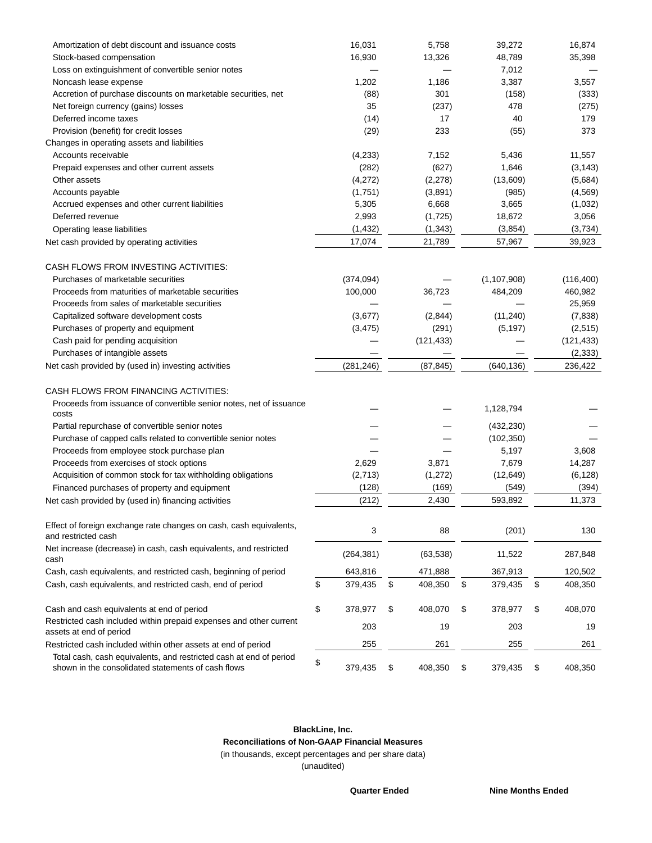| Amortization of debt discount and issuance costs                                                                         | 16,031        | 5,758         | 39,272        | 16,874        |
|--------------------------------------------------------------------------------------------------------------------------|---------------|---------------|---------------|---------------|
| Stock-based compensation                                                                                                 | 16,930        | 13,326        | 48,789        | 35,398        |
| Loss on extinguishment of convertible senior notes                                                                       |               |               | 7,012         |               |
| Noncash lease expense                                                                                                    | 1,202         | 1,186         | 3,387         | 3,557         |
| Accretion of purchase discounts on marketable securities, net                                                            | (88)          | 301           | (158)         | (333)         |
| Net foreign currency (gains) losses                                                                                      | 35            | (237)         | 478           | (275)         |
| Deferred income taxes                                                                                                    | (14)          | 17            | 40            | 179           |
| Provision (benefit) for credit losses                                                                                    | (29)          | 233           | (55)          | 373           |
| Changes in operating assets and liabilities                                                                              |               |               |               |               |
| Accounts receivable                                                                                                      | (4,233)       | 7,152         | 5,436         | 11,557        |
| Prepaid expenses and other current assets                                                                                | (282)         | (627)         | 1,646         | (3, 143)      |
| Other assets                                                                                                             | (4,272)       | (2,278)       | (13,609)      | (5,684)       |
| Accounts payable                                                                                                         | (1,751)       | (3,891)       | (985)         | (4, 569)      |
| Accrued expenses and other current liabilities                                                                           | 5,305         | 6,668         | 3,665         | (1,032)       |
| Deferred revenue                                                                                                         | 2,993         | (1,725)       | 18,672        | 3,056         |
| Operating lease liabilities                                                                                              | (1, 432)      | (1, 343)      | (3, 854)      | (3,734)       |
| Net cash provided by operating activities                                                                                | 17,074        | 21,789        | 57,967        | 39,923        |
| CASH FLOWS FROM INVESTING ACTIVITIES:                                                                                    |               |               |               |               |
| Purchases of marketable securities                                                                                       | (374, 094)    |               | (1, 107, 908) | (116, 400)    |
| Proceeds from maturities of marketable securities                                                                        | 100,000       | 36,723        | 484,209       | 460,982       |
| Proceeds from sales of marketable securities                                                                             |               |               |               | 25,959        |
| Capitalized software development costs                                                                                   | (3,677)       | (2,844)       | (11, 240)     | (7,838)       |
| Purchases of property and equipment                                                                                      | (3, 475)      | (291)         | (5, 197)      | (2,515)       |
| Cash paid for pending acquisition                                                                                        |               | (121, 433)    |               | (121, 433)    |
| Purchases of intangible assets                                                                                           |               |               |               | (2, 333)      |
| Net cash provided by (used in) investing activities                                                                      | (281, 246)    | (87, 845)     | (640,136)     | 236,422       |
| CASH FLOWS FROM FINANCING ACTIVITIES:                                                                                    |               |               |               |               |
| Proceeds from issuance of convertible senior notes, net of issuance                                                      |               |               |               |               |
| costs                                                                                                                    |               |               | 1,128,794     |               |
| Partial repurchase of convertible senior notes                                                                           |               |               | (432, 230)    |               |
| Purchase of capped calls related to convertible senior notes                                                             |               |               | (102, 350)    |               |
| Proceeds from employee stock purchase plan                                                                               |               |               | 5,197         | 3,608         |
| Proceeds from exercises of stock options                                                                                 | 2,629         | 3,871         | 7,679         | 14,287        |
| Acquisition of common stock for tax withholding obligations                                                              | (2,713)       | (1, 272)      | (12, 649)     | (6, 128)      |
| Financed purchases of property and equipment                                                                             | (128)         | (169)         | (549)         | (394)         |
| Net cash provided by (used in) financing activities                                                                      | (212)         | 2,430         | 593,892       | 11,373        |
| Effect of foreign exchange rate changes on cash, cash equivalents,<br>and restricted cash                                | 3             | 88            | (201)         | 130           |
| Net increase (decrease) in cash, cash equivalents, and restricted<br>cash                                                | (264, 381)    | (63, 538)     | 11,522        | 287,848       |
| Cash, cash equivalents, and restricted cash, beginning of period                                                         | 643,816       | 471,888       | 367,913       | 120,502       |
| Cash, cash equivalents, and restricted cash, end of period                                                               | \$<br>379,435 | \$<br>408,350 | \$<br>379,435 | \$<br>408,350 |
| Cash and cash equivalents at end of period                                                                               | \$<br>378,977 | \$<br>408,070 | \$<br>378,977 | \$<br>408,070 |
| Restricted cash included within prepaid expenses and other current                                                       |               |               |               |               |
| assets at end of period                                                                                                  | 203           | 19            | 203           | 19            |
| Restricted cash included within other assets at end of period                                                            | 255           | 261           | 255           | 261           |
| Total cash, cash equivalents, and restricted cash at end of period<br>shown in the consolidated statements of cash flows | \$<br>379,435 | \$<br>408,350 | \$<br>379,435 | \$<br>408,350 |

# **BlackLine, Inc.**

**Reconciliations of Non-GAAP Financial Measures**

(in thousands, except percentages and per share data)

(unaudited)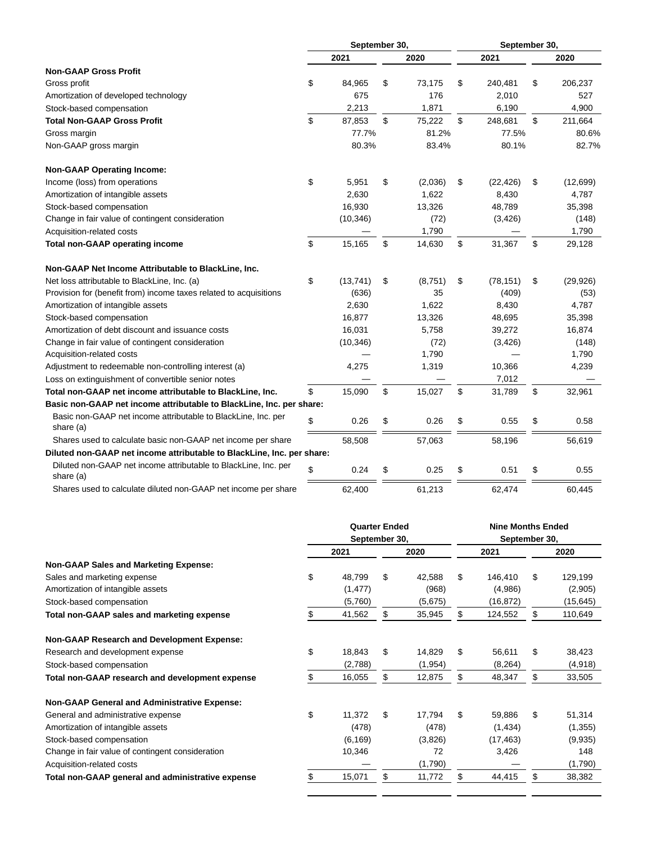|                                                                              | September 30, |           |    | September 30, |    |           |    |           |
|------------------------------------------------------------------------------|---------------|-----------|----|---------------|----|-----------|----|-----------|
|                                                                              |               | 2021      |    | 2020          |    | 2021      |    | 2020      |
| <b>Non-GAAP Gross Profit</b>                                                 |               |           |    |               |    |           |    |           |
| Gross profit                                                                 | \$            | 84,965    | \$ | 73,175        | \$ | 240,481   | \$ | 206,237   |
| Amortization of developed technology                                         |               | 675       |    | 176           |    | 2,010     |    | 527       |
| Stock-based compensation                                                     |               | 2.213     |    | 1,871         |    | 6,190     |    | 4,900     |
| <b>Total Non-GAAP Gross Profit</b>                                           | \$            | 87,853    | \$ | 75,222        | \$ | 248,681   | \$ | 211,664   |
| Gross margin                                                                 |               | 77.7%     |    | 81.2%         |    | 77.5%     |    | 80.6%     |
| Non-GAAP gross margin                                                        |               | 80.3%     |    | 83.4%         |    | 80.1%     |    | 82.7%     |
| <b>Non-GAAP Operating Income:</b>                                            |               |           |    |               |    |           |    |           |
| Income (loss) from operations                                                | \$            | 5,951     | \$ | (2,036)       | \$ | (22, 426) | \$ | (12, 699) |
| Amortization of intangible assets                                            |               | 2,630     |    | 1,622         |    | 8,430     |    | 4,787     |
| Stock-based compensation                                                     |               | 16,930    |    | 13,326        |    | 48,789    |    | 35,398    |
| Change in fair value of contingent consideration                             |               | (10, 346) |    | (72)          |    | (3, 426)  |    | (148)     |
| Acquisition-related costs                                                    |               |           |    | 1,790         |    |           |    | 1,790     |
| <b>Total non-GAAP operating income</b>                                       | \$            | 15,165    | \$ | 14,630        | \$ | 31,367    | \$ | 29,128    |
| Non-GAAP Net Income Attributable to BlackLine, Inc.                          |               |           |    |               |    |           |    |           |
| Net loss attributable to BlackLine, Inc. (a)                                 | \$            | (13,741)  | \$ | (8,751)       | \$ | (78, 151) | \$ | (29, 926) |
| Provision for (benefit from) income taxes related to acquisitions            |               | (636)     |    | 35            |    | (409)     |    | (53)      |
| Amortization of intangible assets                                            |               | 2,630     |    | 1,622         |    | 8,430     |    | 4,787     |
| Stock-based compensation                                                     |               | 16,877    |    | 13,326        |    | 48,695    |    | 35,398    |
| Amortization of debt discount and issuance costs                             |               | 16,031    |    | 5,758         |    | 39,272    |    | 16,874    |
| Change in fair value of contingent consideration                             |               | (10, 346) |    | (72)          |    | (3, 426)  |    | (148)     |
| Acquisition-related costs                                                    |               |           |    | 1,790         |    |           |    | 1,790     |
| Adjustment to redeemable non-controlling interest (a)                        |               | 4,275     |    | 1,319         |    | 10,366    |    | 4,239     |
| Loss on extinguishment of convertible senior notes                           |               |           |    |               |    | 7,012     |    |           |
| Total non-GAAP net income attributable to BlackLine, Inc.                    | \$            | 15,090    | \$ | 15,027        | \$ | 31,789    | \$ | 32,961    |
| Basic non-GAAP net income attributable to BlackLine, Inc. per share:         |               |           |    |               |    |           |    |           |
| Basic non-GAAP net income attributable to BlackLine, Inc. per<br>share (a)   | \$            | 0.26      | \$ | 0.26          | \$ | 0.55      | \$ | 0.58      |
| Shares used to calculate basic non-GAAP net income per share                 |               | 58,508    |    | 57,063        |    | 58,196    |    | 56,619    |
| Diluted non-GAAP net income attributable to BlackLine, Inc. per share:       |               |           |    |               |    |           |    |           |
| Diluted non-GAAP net income attributable to BlackLine, Inc. per<br>share (a) | \$            | 0.24      | \$ | 0.25          | \$ | 0.51      | \$ | 0.55      |
| Shares used to calculate diluted non-GAAP net income per share               |               | 62,400    |    | 61,213        |    | 62,474    |    | 60,445    |

|                                                     | <b>Quarter Ended</b> |                       |    |          |    | <b>Nine Months Ended</b> |                       |          |  |  |  |
|-----------------------------------------------------|----------------------|-----------------------|----|----------|----|--------------------------|-----------------------|----------|--|--|--|
|                                                     |                      | September 30,<br>2021 |    | 2020     |    | 2021                     | September 30,<br>2020 |          |  |  |  |
| <b>Non-GAAP Sales and Marketing Expense:</b>        |                      |                       |    |          |    |                          |                       |          |  |  |  |
| Sales and marketing expense                         | \$                   | 48.799                | \$ | 42,588   | \$ | 146,410                  | \$                    | 129,199  |  |  |  |
| Amortization of intangible assets                   |                      | (1, 477)              |    | (968)    |    | (4,986)                  |                       | (2,905)  |  |  |  |
| Stock-based compensation                            |                      | (5,760)               |    | (5,675)  |    | (16, 872)                |                       | (15,645) |  |  |  |
| Total non-GAAP sales and marketing expense          |                      | 41,562                | \$ | 35,945   | \$ | 124,552                  | \$                    | 110,649  |  |  |  |
| <b>Non-GAAP Research and Development Expense:</b>   |                      |                       |    |          |    |                          |                       |          |  |  |  |
| Research and development expense                    | \$                   | 18,843                | \$ | 14,829   | \$ | 56,611                   | \$                    | 38,423   |  |  |  |
| Stock-based compensation                            |                      | (2,788)               |    | (1, 954) |    | (8,264)                  |                       | (4,918)  |  |  |  |
| Total non-GAAP research and development expense     |                      | 16,055                | \$ | 12,875   | \$ | 48,347                   | \$                    | 33,505   |  |  |  |
| <b>Non-GAAP General and Administrative Expense:</b> |                      |                       |    |          |    |                          |                       |          |  |  |  |
| General and administrative expense                  | \$                   | 11,372                | \$ | 17.794   | \$ | 59,886                   | \$                    | 51,314   |  |  |  |
| Amortization of intangible assets                   |                      | (478)                 |    | (478)    |    | (1,434)                  |                       | (1,355)  |  |  |  |
| Stock-based compensation                            |                      | (6, 169)              |    | (3,826)  |    | (17, 463)                |                       | (9,935)  |  |  |  |
| Change in fair value of contingent consideration    |                      | 10,346                |    | 72       |    | 3,426                    |                       | 148      |  |  |  |
| Acquisition-related costs                           |                      |                       |    | (1,790)  |    |                          |                       | (1,790)  |  |  |  |
| Total non-GAAP general and administrative expense   |                      | 15,071                | \$ | 11,772   | \$ | 44,415                   | \$                    | 38,382   |  |  |  |